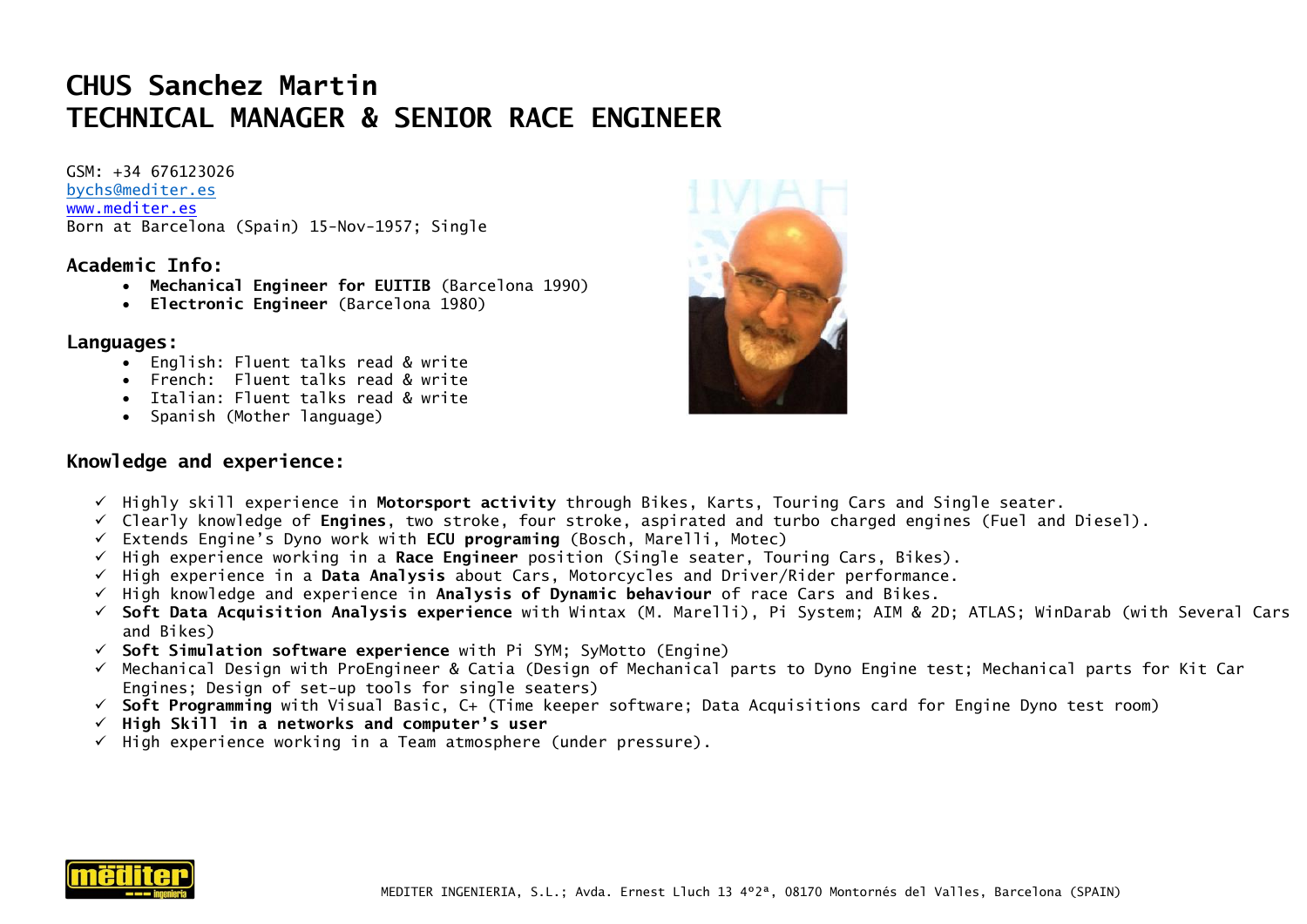## **CHUS Sanchez Martin TECHNICAL MANAGER & SENIOR RACE ENGINEER**

GSM: +34 676123026 [bychs@mediter.es](mailto:bychs@mediter.es) [www.mediter.es](http://www.mediter.es/) Born at Barcelona (Spain) 15-Nov-1957; Single

#### **Academic Info:**

- **Mechanical Engineer for EUITIB** (Barcelona 1990)
- **Electronic Engineer** (Barcelona 1980)

#### **Languages:**

- English: Fluent talks read & write
- French: Fluent talks read & write
- Italian: Fluent talks read & write
- Spanish (Mother language)

#### **Knowledge and experience:**



- ✓ Highly skill experience in **Motorsport activity** through Bikes, Karts, Touring Cars and Single seater.
- ✓ Clearly knowledge of **Engines**, two stroke, four stroke, aspirated and turbo charged engines (Fuel and Diesel).
- ✓ Extends Engine's Dyno work with **ECU programing** (Bosch, Marelli, Motec)
- ✓ High experience working in a **Race Engineer** position (Single seater, Touring Cars, Bikes).
- ✓ High experience in a **Data Analysis** about Cars, Motorcycles and Driver/Rider performance.
- ✓ High knowledge and experience in **Analysis of Dynamic behaviour** of race Cars and Bikes.
- ✓ **Soft Data Acquisition Analysis experience** with Wintax (M. Marelli), Pi System; AIM & 2D; ATLAS; WinDarab (with Several Cars and Bikes)
- ✓ **Soft Simulation software experience** with Pi SYM; SyMotto (Engine)
- ✓ Mechanical Design with ProEngineer & Catia (Design of Mechanical parts to Dyno Engine test; Mechanical parts for Kit Car Engines; Design of set-up tools for single seaters)
- ✓ **Soft Programming** with Visual Basic, C+ (Time keeper software; Data Acquisitions card for Engine Dyno test room)
- ✓ **High Skill in a networks and computer's user**
- $\checkmark$  High experience working in a Team atmosphere (under pressure).

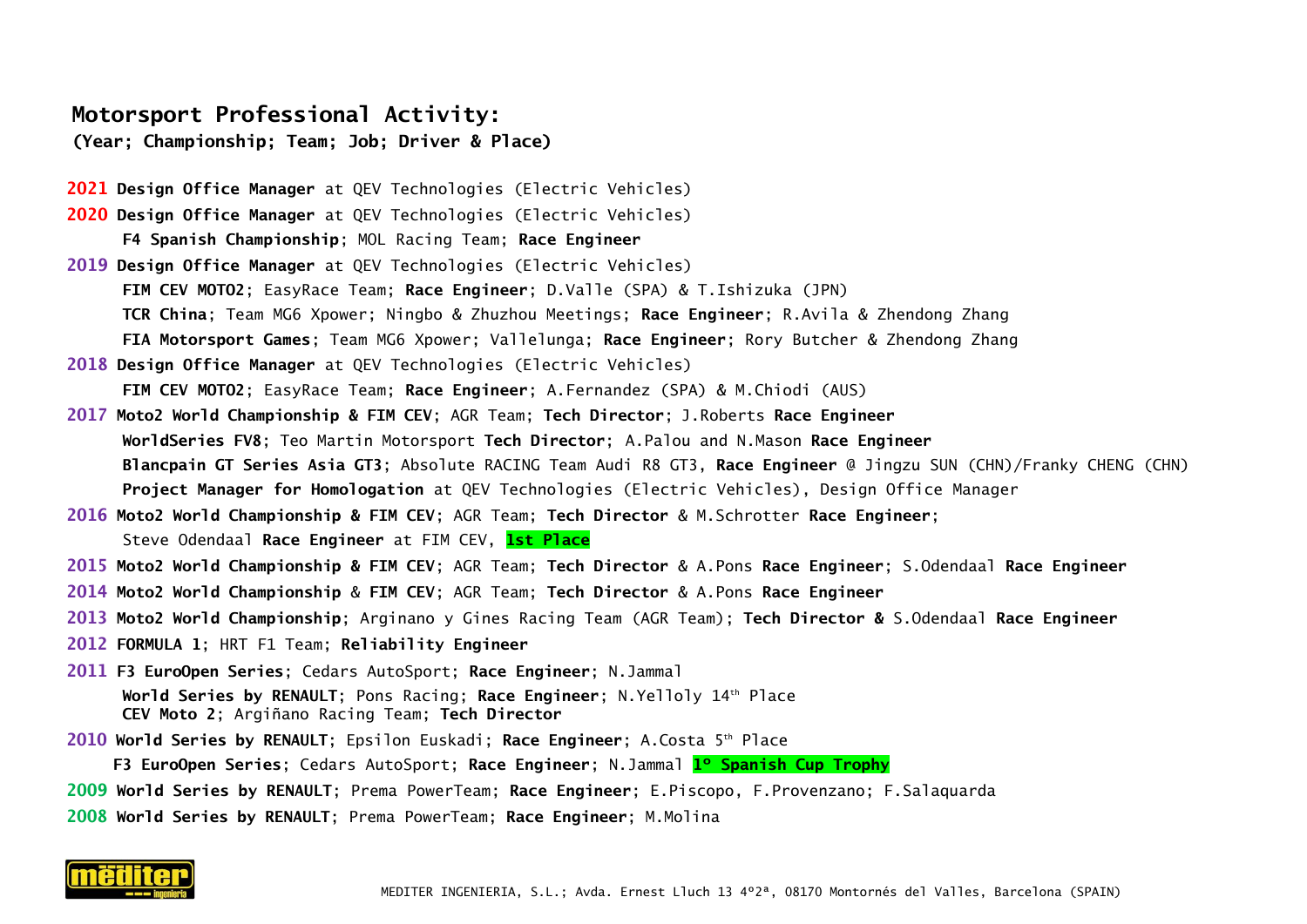### **Motorsport Professional Activity:**

**(Year; Championship; Team; Job; Driver & Place)**

- **2021 Design Office Manager** at QEV Technologies (Electric Vehicles) **2020 Design Office Manager** at QEV Technologies (Electric Vehicles) **F4 Spanish Championship**; MOL Racing Team; **Race Engineer 2019 Design Office Manager** at QEV Technologies (Electric Vehicles) **FIM CEV MOTO2**; EasyRace Team; **Race Engineer**; D.Valle (SPA) & T.Ishizuka (JPN) **TCR China**; Team MG6 Xpower; Ningbo & Zhuzhou Meetings; **Race Engineer**; R.Avila & Zhendong Zhang **FIA Motorsport Games**; Team MG6 Xpower; Vallelunga; **Race Engineer**; Rory Butcher & Zhendong Zhang **2018 Design Office Manager** at QEV Technologies (Electric Vehicles) **FIM CEV MOTO2**; EasyRace Team; **Race Engineer**; A.Fernandez (SPA) & M.Chiodi (AUS) **2017 Moto2 World Championship & FIM CEV**; AGR Team; **Tech Director**; J.Roberts **Race Engineer WorldSeries FV8**; Teo Martin Motorsport **Tech Director**; A.Palou and N.Mason **Race Engineer Blancpain GT Series Asia GT3**; Absolute RACING Team Audi R8 GT3, **Race Engineer** @ Jingzu SUN (CHN)/Franky CHENG (CHN) **Project Manager for Homologation** at QEV Technologies (Electric Vehicles), Design Office Manager **2016 Moto2 World Championship & FIM CEV**; AGR Team; **Tech Director** & M.Schrotter **Race Engineer**; Steve Odendaal **Race Engineer** at FIM CEV, **1st Place 2015 Moto2 World Championship & FIM CEV**; AGR Team; **Tech Director** & A.Pons **Race Engineer**; S.Odendaal **Race Engineer**
- **2014 Moto2 World Championship** & **FIM CEV**; AGR Team; **Tech Director** & A.Pons **Race Engineer**
- **2013 Moto2 World Championship**; Arginano y Gines Racing Team (AGR Team); **Tech Director &** S.Odendaal **Race Engineer**
- **2012 FORMULA 1**; HRT F1 Team; **Reliability Engineer**
- **2011 F3 EuroOpen Series**; Cedars AutoSport; **Race Engineer**; N.Jammal **World Series by RENAULT**; Pons Racing; **Race Engineer**; N.Yelloly 14th Place **CEV Moto 2**; Argiñano Racing Team; **Tech Director**
- **2010 World Series by RENAULT**; Epsilon Euskadi; **Race Engineer**; A.Costa 5 th Place

 **F3 EuroOpen Series**; Cedars AutoSport; **Race Engineer**; N.Jammal **1º Spanish Cup Trophy**

- **2009 World Series by RENAULT**; Prema PowerTeam; **Race Engineer**; E.Piscopo, F.Provenzano; F.Salaquarda
- **2008 World Series by RENAULT**; Prema PowerTeam; **Race Engineer**; M.Molina

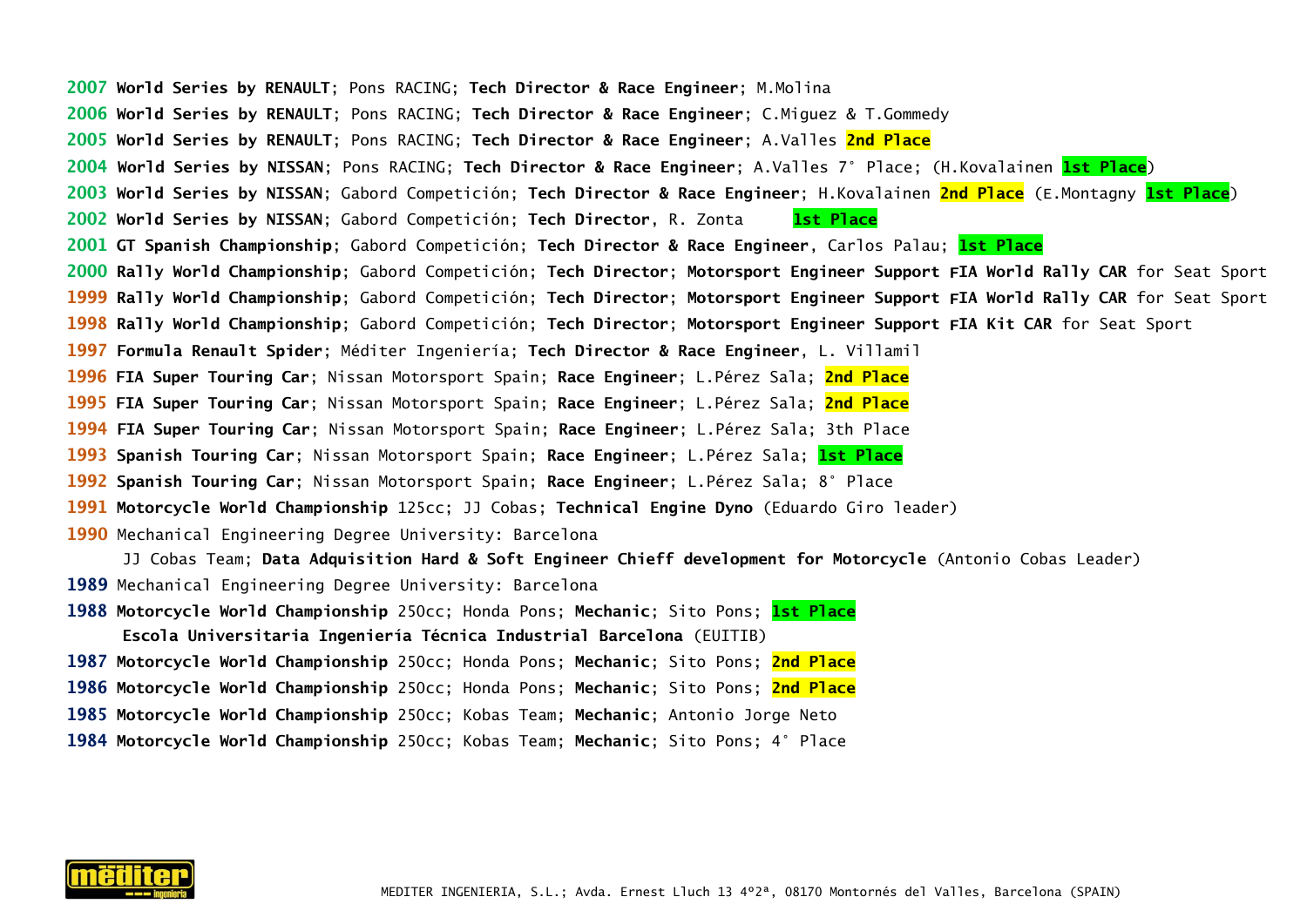**World Series by RENAULT**; Pons RACING; **Tech Director & Race Engineer**; M.Molina **World Series by RENAULT**; Pons RACING; **Tech Director & Race Engineer**; C.Miguez & T.Gommedy **World Series by RENAULT**; Pons RACING; **Tech Director & Race Engineer**; A.Valles **2nd Place World Series by NISSAN**; Pons RACING; **Tech Director & Race Engineer**; A.Valles 7° Place; (H.Kovalainen **1st Place**) **World Series by NISSAN**; Gabord Competición; **Tech Director & Race Engineer**; H.Kovalainen **2nd Place** (E.Montagny **1st Place**) **World Series by NISSAN**; Gabord Competición; **Tech Director**, R. Zonta **1st Place GT Spanish Championship**; Gabord Competición; **Tech Director & Race Engineer**, Carlos Palau; **1st Place Rally World Championship**; Gabord Competición; **Tech Director**; **Motorsport Engineer Support** F**IA World Rally CAR** for Seat Sport **Rally World Championship**; Gabord Competición; **Tech Director**; **Motorsport Engineer Support** F**IA World Rally CAR** for Seat Sport **Rally World Championship**; Gabord Competición; **Tech Director**; **Motorsport Engineer Support** F**IA Kit CAR** for Seat Sport **Formula Renault Spider**; Méditer Ingeniería; **Tech Director & Race Engineer**, L. Villamil **FIA Super Touring Car**; Nissan Motorsport Spain; **Race Engineer**; L.Pérez Sala; **2nd Place FIA Super Touring Car**; Nissan Motorsport Spain; **Race Engineer**; L.Pérez Sala; **2nd Place FIA Super Touring Car**; Nissan Motorsport Spain; **Race Engineer**; L.Pérez Sala; 3th Place **Spanish Touring Car**; Nissan Motorsport Spain; **Race Engineer**; L.Pérez Sala; **1st Place Spanish Touring Car**; Nissan Motorsport Spain; **Race Engineer**; L.Pérez Sala; 8° Place **Motorcycle World Championship** 125cc; JJ Cobas; **Technical Engine Dyno** (Eduardo Giro leader) Mechanical Engineering Degree University: Barcelona JJ Cobas Team; **Data Adquisition Hard & Soft Engineer Chieff development for Motorcycle** (Antonio Cobas Leader) Mechanical Engineering Degree University: Barcelona **Motorcycle World Championship** 250cc; Honda Pons; **Mechanic**; Sito Pons; **1st Place Escola Universitaria Ingeniería Técnica Industrial Barcelona** (EUITIB) **Motorcycle World Championship** 250cc; Honda Pons; **Mechanic**; Sito Pons; **2nd Place Motorcycle World Championship** 250cc; Honda Pons; **Mechanic**; Sito Pons; **2nd Place Motorcycle World Championship** 250cc; Kobas Team; **Mechanic**; Antonio Jorge Neto

**Motorcycle World Championship** 250cc; Kobas Team; **Mechanic**; Sito Pons; 4° Place

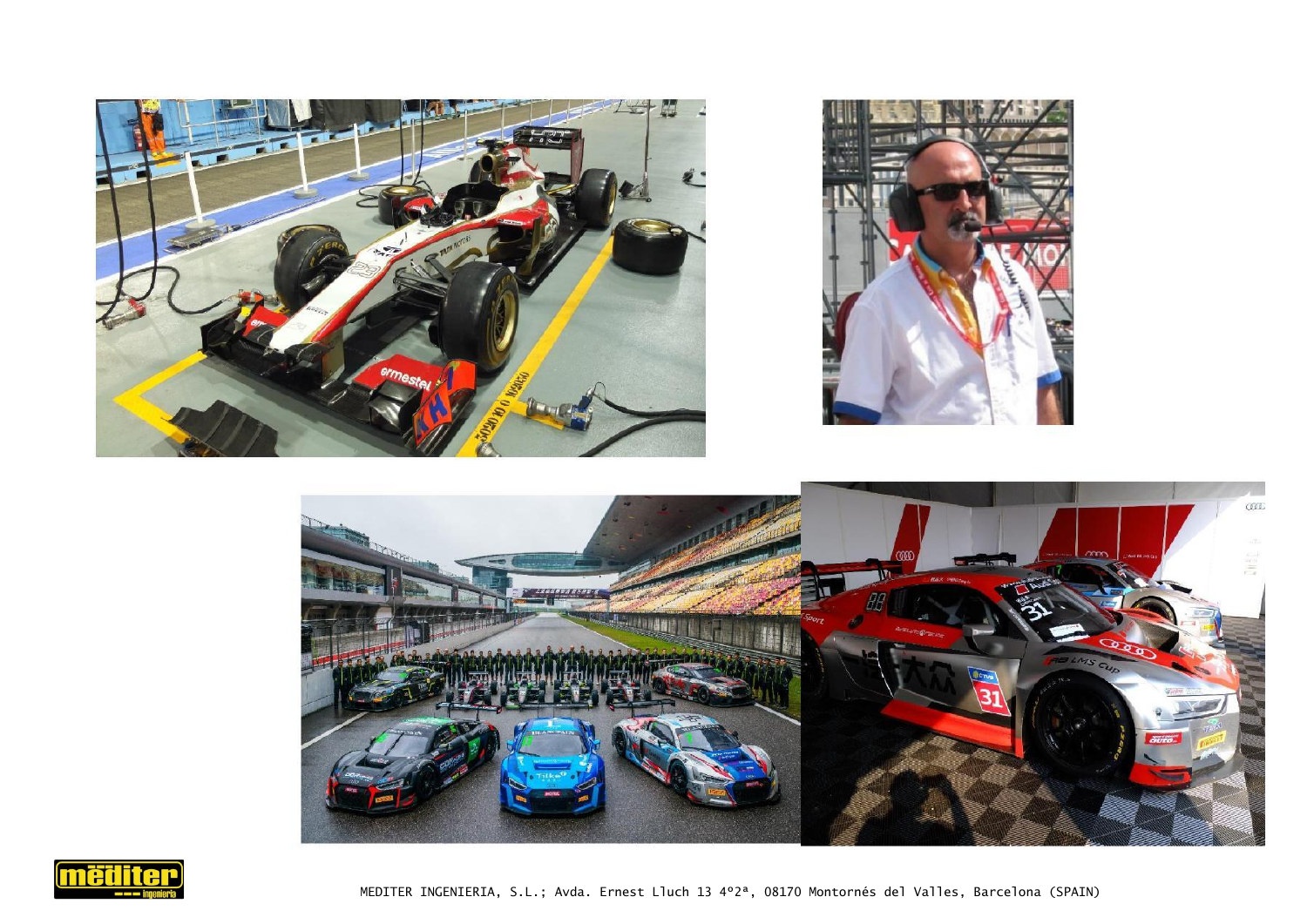







MEDITER INGENIERIA, S.L.; Avda. Ernest Lluch 13 4º2ª, 08170 Montornés del Valles, Barcelona (SPAIN)